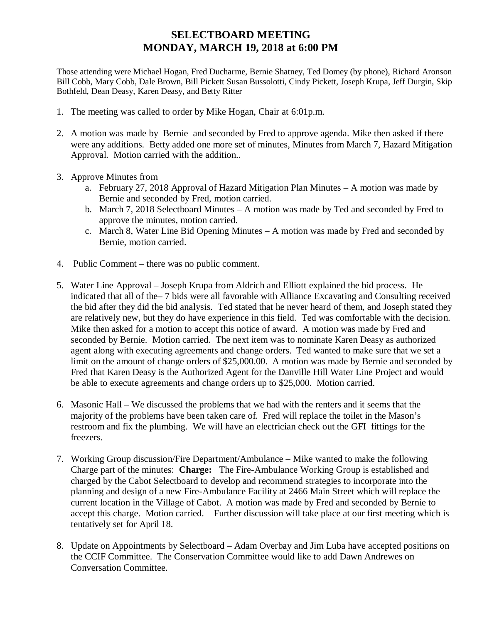## **SELECTBOARD MEETING MONDAY, MARCH 19, 2018 at 6:00 PM**

Those attending were Michael Hogan, Fred Ducharme, Bernie Shatney, Ted Domey (by phone), Richard Aronson Bill Cobb, Mary Cobb, Dale Brown, Bill Pickett Susan Bussolotti, Cindy Pickett, Joseph Krupa, Jeff Durgin, Skip Bothfeld, Dean Deasy, Karen Deasy, and Betty Ritter

- 1. The meeting was called to order by Mike Hogan, Chair at 6:01p.m.
- 2. A motion was made by Bernie and seconded by Fred to approve agenda. Mike then asked if there were any additions. Betty added one more set of minutes, Minutes from March 7, Hazard Mitigation Approval. Motion carried with the addition..
- 3. Approve Minutes from
	- a. February 27, 2018 Approval of Hazard Mitigation Plan Minutes A motion was made by Bernie and seconded by Fred, motion carried.
	- b. March 7, 2018 Selectboard Minutes A motion was made by Ted and seconded by Fred to approve the minutes, motion carried.
	- c. March 8, Water Line Bid Opening Minutes A motion was made by Fred and seconded by Bernie, motion carried.
- 4. Public Comment there was no public comment.
- 5. Water Line Approval Joseph Krupa from Aldrich and Elliott explained the bid process. He indicated that all of the– 7 bids were all favorable with Alliance Excavating and Consulting received the bid after they did the bid analysis. Ted stated that he never heard of them, and Joseph stated they are relatively new, but they do have experience in this field. Ted was comfortable with the decision. Mike then asked for a motion to accept this notice of award. A motion was made by Fred and seconded by Bernie. Motion carried. The next item was to nominate Karen Deasy as authorized agent along with executing agreements and change orders. Ted wanted to make sure that we set a limit on the amount of change orders of \$25,000.00. A motion was made by Bernie and seconded by Fred that Karen Deasy is the Authorized Agent for the Danville Hill Water Line Project and would be able to execute agreements and change orders up to \$25,000. Motion carried.
- 6. Masonic Hall We discussed the problems that we had with the renters and it seems that the majority of the problems have been taken care of. Fred will replace the toilet in the Mason's restroom and fix the plumbing. We will have an electrician check out the GFI fittings for the freezers.
- 7. Working Group discussion/Fire Department/Ambulance Mike wanted to make the following Charge part of the minutes: **Charge:** The Fire-Ambulance Working Group is established and charged by the Cabot Selectboard to develop and recommend strategies to incorporate into the planning and design of a new Fire-Ambulance Facility at 2466 Main Street which will replace the current location in the Village of Cabot. A motion was made by Fred and seconded by Bernie to accept this charge. Motion carried. Further discussion will take place at our first meeting which is tentatively set for April 18.
- 8. Update on Appointments by Selectboard Adam Overbay and Jim Luba have accepted positions on the CCIF Committee. The Conservation Committee would like to add Dawn Andrewes on Conversation Committee.